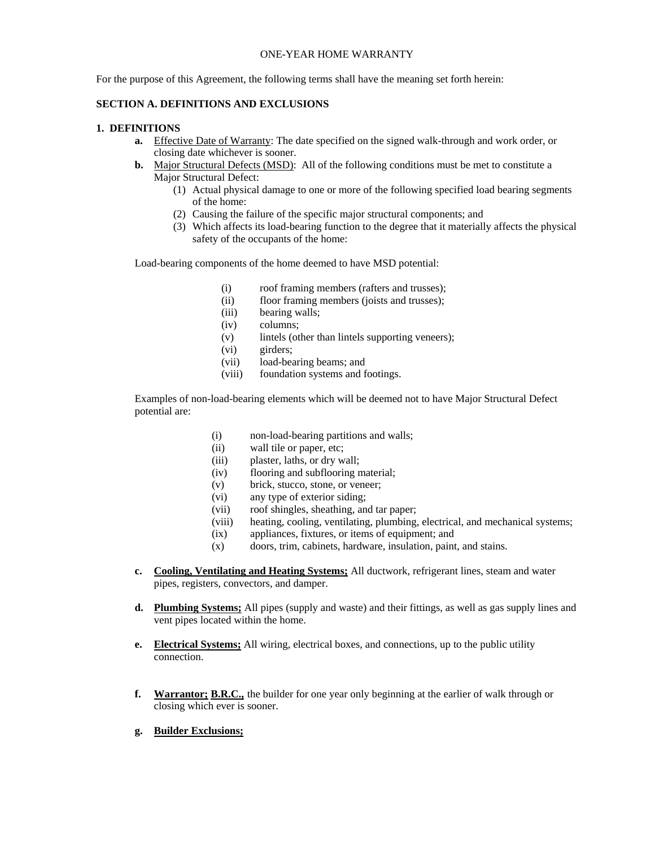#### ONE-YEAR HOME WARRANTY

For the purpose of this Agreement, the following terms shall have the meaning set forth herein:

### **SECTION A. DEFINITIONS AND EXCLUSIONS**

#### **1. DEFINITIONS**

- **a.** Effective Date of Warranty: The date specified on the signed walk-through and work order, or closing date whichever is sooner.
- **b.** Major Structural Defects (MSD): All of the following conditions must be met to constitute a Major Structural Defect:
	- (1) Actual physical damage to one or more of the following specified load bearing segments of the home:
	- (2) Causing the failure of the specific major structural components; and
	- (3) Which affects its load-bearing function to the degree that it materially affects the physical safety of the occupants of the home:

Load-bearing components of the home deemed to have MSD potential:

- (i) roof framing members (rafters and trusses);
- (ii) floor framing members (joists and trusses);
- (iii) bearing walls;
- (iv) columns;
- (v) lintels (other than lintels supporting veneers);
- (vi) girders;
- (vii) load-bearing beams; and
- (viii) foundation systems and footings.

Examples of non-load-bearing elements which will be deemed not to have Major Structural Defect potential are:

- (i) non-load-bearing partitions and walls;
- (ii) wall tile or paper, etc;
- (iii) plaster, laths, or dry wall;
- (iv) flooring and subflooring material;
- (v) brick, stucco, stone, or veneer;
- (vi) any type of exterior siding;
- (vii) roof shingles, sheathing, and tar paper;
- (viii) heating, cooling, ventilating, plumbing, electrical, and mechanical systems;
- (ix) appliances, fixtures, or items of equipment; and
- (x) doors, trim, cabinets, hardware, insulation, paint, and stains.
- **c. Cooling, Ventilating and Heating Systems;** All ductwork, refrigerant lines, steam and water pipes, registers, convectors, and damper.
- **d. Plumbing Systems;** All pipes (supply and waste) and their fittings, as well as gas supply lines and vent pipes located within the home.
- **e. Electrical Systems;** All wiring, electrical boxes, and connections, up to the public utility connection.
- **f. Warrantor; B.R.C.,** the builder for one year only beginning at the earlier of walk through or closing which ever is sooner.
- **g. Builder Exclusions;**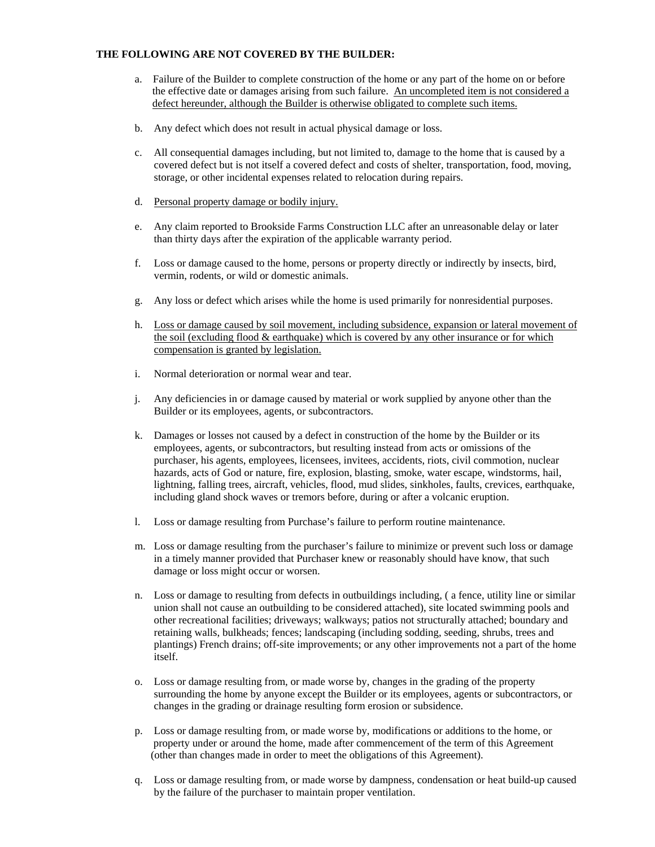### **THE FOLLOWING ARE NOT COVERED BY THE BUILDER:**

- a. Failure of the Builder to complete construction of the home or any part of the home on or before the effective date or damages arising from such failure. An uncompleted item is not considered a defect hereunder, although the Builder is otherwise obligated to complete such items.
- b. Any defect which does not result in actual physical damage or loss.
- c. All consequential damages including, but not limited to, damage to the home that is caused by a covered defect but is not itself a covered defect and costs of shelter, transportation, food, moving, storage, or other incidental expenses related to relocation during repairs.
- d. Personal property damage or bodily injury.
- e. Any claim reported to Brookside Farms Construction LLC after an unreasonable delay or later than thirty days after the expiration of the applicable warranty period.
- f. Loss or damage caused to the home, persons or property directly or indirectly by insects, bird, vermin, rodents, or wild or domestic animals.
- g. Any loss or defect which arises while the home is used primarily for nonresidential purposes.
- h. Loss or damage caused by soil movement, including subsidence, expansion or lateral movement of the soil (excluding flood  $&$  earthquake) which is covered by any other insurance or for which compensation is granted by legislation.
- i. Normal deterioration or normal wear and tear.
- j. Any deficiencies in or damage caused by material or work supplied by anyone other than the Builder or its employees, agents, or subcontractors.
- k. Damages or losses not caused by a defect in construction of the home by the Builder or its employees, agents, or subcontractors, but resulting instead from acts or omissions of the purchaser, his agents, employees, licensees, invitees, accidents, riots, civil commotion, nuclear hazards, acts of God or nature, fire, explosion, blasting, smoke, water escape, windstorms, hail, lightning, falling trees, aircraft, vehicles, flood, mud slides, sinkholes, faults, crevices, earthquake, including gland shock waves or tremors before, during or after a volcanic eruption.
- l. Loss or damage resulting from Purchase's failure to perform routine maintenance.
- m. Loss or damage resulting from the purchaser's failure to minimize or prevent such loss or damage in a timely manner provided that Purchaser knew or reasonably should have know, that such damage or loss might occur or worsen.
- n. Loss or damage to resulting from defects in outbuildings including, ( a fence, utility line or similar union shall not cause an outbuilding to be considered attached), site located swimming pools and other recreational facilities; driveways; walkways; patios not structurally attached; boundary and retaining walls, bulkheads; fences; landscaping (including sodding, seeding, shrubs, trees and plantings) French drains; off-site improvements; or any other improvements not a part of the home itself.
- o. Loss or damage resulting from, or made worse by, changes in the grading of the property surrounding the home by anyone except the Builder or its employees, agents or subcontractors, or changes in the grading or drainage resulting form erosion or subsidence.
- p. Loss or damage resulting from, or made worse by, modifications or additions to the home, or property under or around the home, made after commencement of the term of this Agreement (other than changes made in order to meet the obligations of this Agreement).
- q. Loss or damage resulting from, or made worse by dampness, condensation or heat build-up caused by the failure of the purchaser to maintain proper ventilation.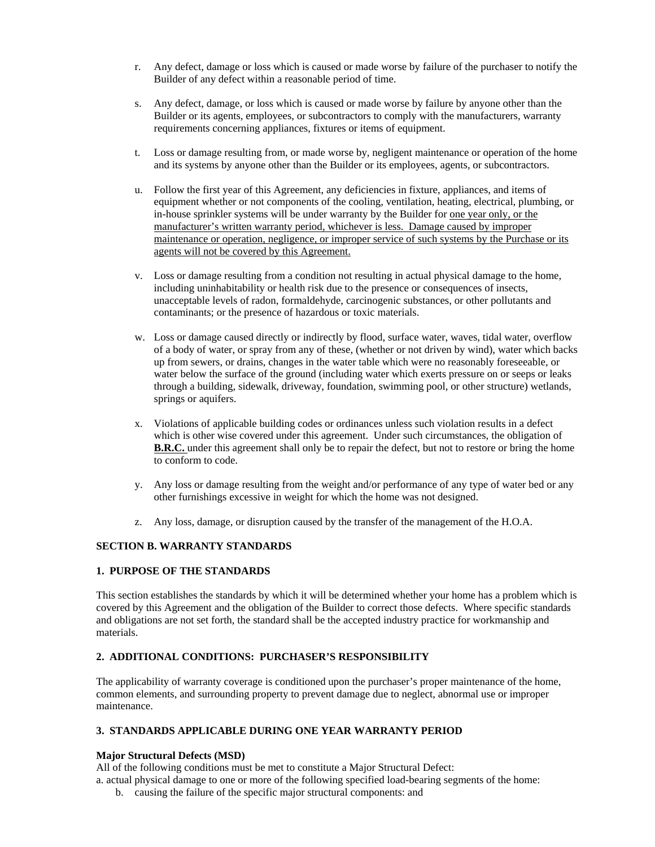- r. Any defect, damage or loss which is caused or made worse by failure of the purchaser to notify the Builder of any defect within a reasonable period of time.
- s. Any defect, damage, or loss which is caused or made worse by failure by anyone other than the Builder or its agents, employees, or subcontractors to comply with the manufacturers, warranty requirements concerning appliances, fixtures or items of equipment.
- t. Loss or damage resulting from, or made worse by, negligent maintenance or operation of the home and its systems by anyone other than the Builder or its employees, agents, or subcontractors.
- u. Follow the first year of this Agreement, any deficiencies in fixture, appliances, and items of equipment whether or not components of the cooling, ventilation, heating, electrical, plumbing, or in-house sprinkler systems will be under warranty by the Builder for one year only, or the manufacturer's written warranty period, whichever is less. Damage caused by improper maintenance or operation, negligence, or improper service of such systems by the Purchase or its agents will not be covered by this Agreement.
- v. Loss or damage resulting from a condition not resulting in actual physical damage to the home, including uninhabitability or health risk due to the presence or consequences of insects, unacceptable levels of radon, formaldehyde, carcinogenic substances, or other pollutants and contaminants; or the presence of hazardous or toxic materials.
- w. Loss or damage caused directly or indirectly by flood, surface water, waves, tidal water, overflow of a body of water, or spray from any of these, (whether or not driven by wind), water which backs up from sewers, or drains, changes in the water table which were no reasonably foreseeable, or water below the surface of the ground (including water which exerts pressure on or seeps or leaks through a building, sidewalk, driveway, foundation, swimming pool, or other structure) wetlands, springs or aquifers.
- x. Violations of applicable building codes or ordinances unless such violation results in a defect which is other wise covered under this agreement. Under such circumstances, the obligation of **B.R.C.** under this agreement shall only be to repair the defect, but not to restore or bring the home to conform to code.
- y. Any loss or damage resulting from the weight and/or performance of any type of water bed or any other furnishings excessive in weight for which the home was not designed.
- z. Any loss, damage, or disruption caused by the transfer of the management of the H.O.A.

# **SECTION B. WARRANTY STANDARDS**

# **1. PURPOSE OF THE STANDARDS**

This section establishes the standards by which it will be determined whether your home has a problem which is covered by this Agreement and the obligation of the Builder to correct those defects. Where specific standards and obligations are not set forth, the standard shall be the accepted industry practice for workmanship and materials.

# **2. ADDITIONAL CONDITIONS: PURCHASER'S RESPONSIBILITY**

The applicability of warranty coverage is conditioned upon the purchaser's proper maintenance of the home, common elements, and surrounding property to prevent damage due to neglect, abnormal use or improper maintenance.

# **3. STANDARDS APPLICABLE DURING ONE YEAR WARRANTY PERIOD**

# **Major Structural Defects (MSD)**

All of the following conditions must be met to constitute a Major Structural Defect:

a. actual physical damage to one or more of the following specified load-bearing segments of the home:

b. causing the failure of the specific major structural components: and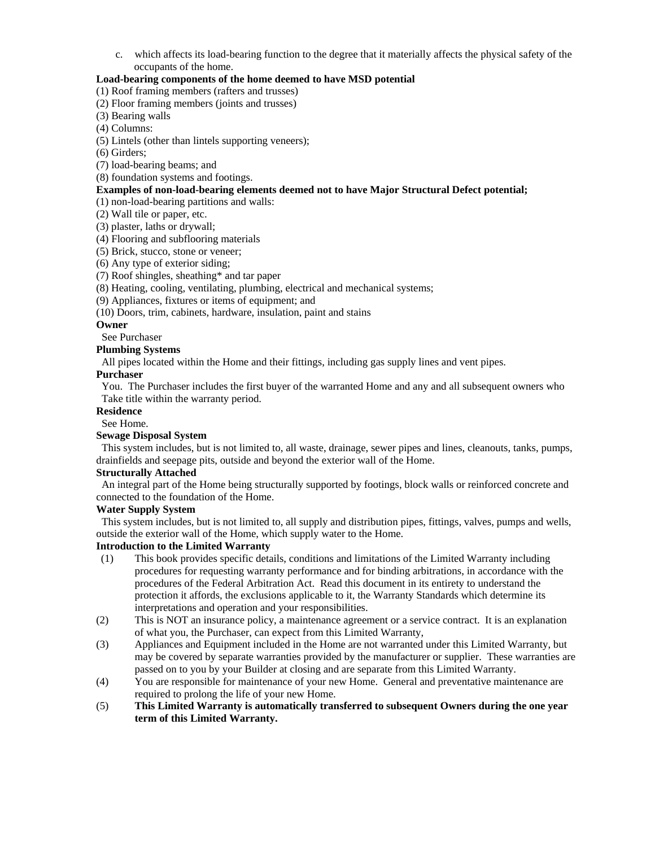c. which affects its load-bearing function to the degree that it materially affects the physical safety of the occupants of the home.

### **Load-bearing components of the home deemed to have MSD potential**

(1) Roof framing members (rafters and trusses)

(2) Floor framing members (joints and trusses)

- (3) Bearing walls
- (4) Columns:

(5) Lintels (other than lintels supporting veneers);

(6) Girders;

(7) load-bearing beams; and

(8) foundation systems and footings.

# **Examples of non-load-bearing elements deemed not to have Major Structural Defect potential;**

(1) non-load-bearing partitions and walls:

(2) Wall tile or paper, etc.

(3) plaster, laths or drywall;

(4) Flooring and subflooring materials

(5) Brick, stucco, stone or veneer;

(6) Any type of exterior siding;

(7) Roof shingles, sheathing\* and tar paper

(8) Heating, cooling, ventilating, plumbing, electrical and mechanical systems;

(9) Appliances, fixtures or items of equipment; and

(10) Doors, trim, cabinets, hardware, insulation, paint and stains

# **Owner**

See Purchaser

#### **Plumbing Systems**

All pipes located within the Home and their fittings, including gas supply lines and vent pipes.

### **Purchaser**

 You. The Purchaser includes the first buyer of the warranted Home and any and all subsequent owners who Take title within the warranty period.

# **Residence**

See Home.

# **Sewage Disposal System**

 This system includes, but is not limited to, all waste, drainage, sewer pipes and lines, cleanouts, tanks, pumps, drainfields and seepage pits, outside and beyond the exterior wall of the Home.

### **Structurally Attached**

An integral part of the Home being structurally supported by footings, block walls or reinforced concrete and connected to the foundation of the Home.

#### **Water Supply System**

This system includes, but is not limited to, all supply and distribution pipes, fittings, valves, pumps and wells, outside the exterior wall of the Home, which supply water to the Home.

# **Introduction to the Limited Warranty**

- (1) This book provides specific details, conditions and limitations of the Limited Warranty including procedures for requesting warranty performance and for binding arbitrations, in accordance with the procedures of the Federal Arbitration Act. Read this document in its entirety to understand the protection it affords, the exclusions applicable to it, the Warranty Standards which determine its interpretations and operation and your responsibilities.
- (2) This is NOT an insurance policy, a maintenance agreement or a service contract. It is an explanation of what you, the Purchaser, can expect from this Limited Warranty,
- (3) Appliances and Equipment included in the Home are not warranted under this Limited Warranty, but may be covered by separate warranties provided by the manufacturer or supplier. These warranties are passed on to you by your Builder at closing and are separate from this Limited Warranty.
- (4) You are responsible for maintenance of your new Home. General and preventative maintenance are required to prolong the life of your new Home.
- (5) **This Limited Warranty is automatically transferred to subsequent Owners during the one year term of this Limited Warranty.**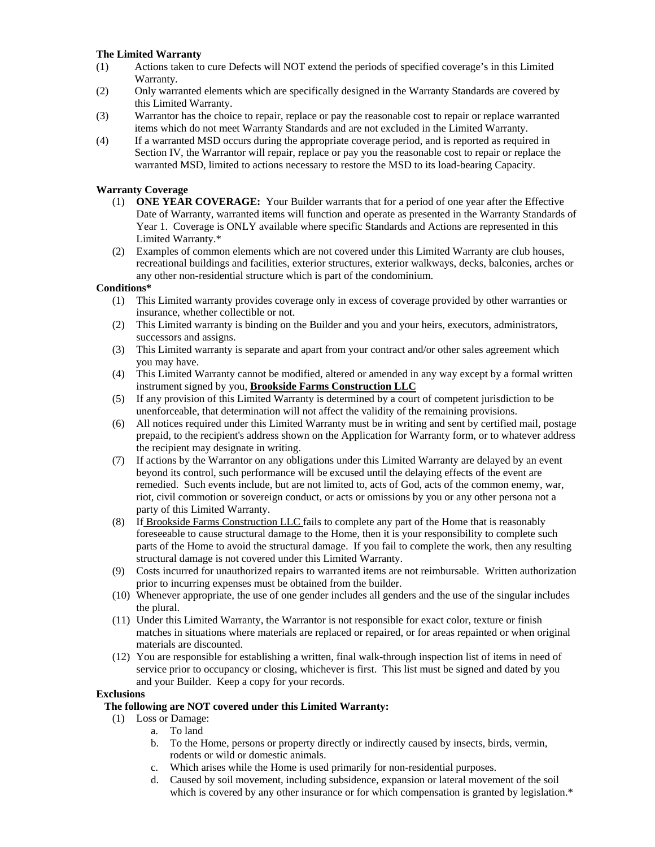# **The Limited Warranty**

- (1) Actions taken to cure Defects will NOT extend the periods of specified coverage's in this Limited Warranty.
- (2) Only warranted elements which are specifically designed in the Warranty Standards are covered by this Limited Warranty.
- (3) Warrantor has the choice to repair, replace or pay the reasonable cost to repair or replace warranted items which do not meet Warranty Standards and are not excluded in the Limited Warranty.
- (4) If a warranted MSD occurs during the appropriate coverage period, and is reported as required in Section IV, the Warrantor will repair, replace or pay you the reasonable cost to repair or replace the warranted MSD, limited to actions necessary to restore the MSD to its load-bearing Capacity.

# **Warranty Coverage**

- (1) **ONE YEAR COVERAGE:** Your Builder warrants that for a period of one year after the Effective Date of Warranty, warranted items will function and operate as presented in the Warranty Standards of Year 1. Coverage is ONLY available where specific Standards and Actions are represented in this Limited Warranty.\*
- (2) Examples of common elements which are not covered under this Limited Warranty are club houses, recreational buildings and facilities, exterior structures, exterior walkways, decks, balconies, arches or any other non-residential structure which is part of the condominium.

# **Conditions\***

- (1) This Limited warranty provides coverage only in excess of coverage provided by other warranties or insurance, whether collectible or not.
- (2) This Limited warranty is binding on the Builder and you and your heirs, executors, administrators, successors and assigns.
- (3) This Limited warranty is separate and apart from your contract and/or other sales agreement which you may have.
- (4) This Limited Warranty cannot be modified, altered or amended in any way except by a formal written instrument signed by you, **Brookside Farms Construction LLC**
- (5) If any provision of this Limited Warranty is determined by a court of competent jurisdiction to be unenforceable, that determination will not affect the validity of the remaining provisions.
- (6) All notices required under this Limited Warranty must be in writing and sent by certified mail, postage prepaid, to the recipient's address shown on the Application for Warranty form, or to whatever address the recipient may designate in writing.
- (7) If actions by the Warrantor on any obligations under this Limited Warranty are delayed by an event beyond its control, such performance will be excused until the delaying effects of the event are remedied. Such events include, but are not limited to, acts of God, acts of the common enemy, war, riot, civil commotion or sovereign conduct, or acts or omissions by you or any other persona not a party of this Limited Warranty.
- (8) If Brookside Farms Construction LLC fails to complete any part of the Home that is reasonably foreseeable to cause structural damage to the Home, then it is your responsibility to complete such parts of the Home to avoid the structural damage. If you fail to complete the work, then any resulting structural damage is not covered under this Limited Warranty.
- (9) Costs incurred for unauthorized repairs to warranted items are not reimbursable. Written authorization prior to incurring expenses must be obtained from the builder.
- (10) Whenever appropriate, the use of one gender includes all genders and the use of the singular includes the plural.
- (11) Under this Limited Warranty, the Warrantor is not responsible for exact color, texture or finish matches in situations where materials are replaced or repaired, or for areas repainted or when original materials are discounted.
- (12) You are responsible for establishing a written, final walk-through inspection list of items in need of service prior to occupancy or closing, whichever is first. This list must be signed and dated by you and your Builder. Keep a copy for your records.

# **Exclusions**

# **The following are NOT covered under this Limited Warranty:**

- (1) Loss or Damage:
	- a. To land
	- b. To the Home, persons or property directly or indirectly caused by insects, birds, vermin, rodents or wild or domestic animals.
	- c. Which arises while the Home is used primarily for non-residential purposes.
	- d. Caused by soil movement, including subsidence, expansion or lateral movement of the soil which is covered by any other insurance or for which compensation is granted by legislation.\*